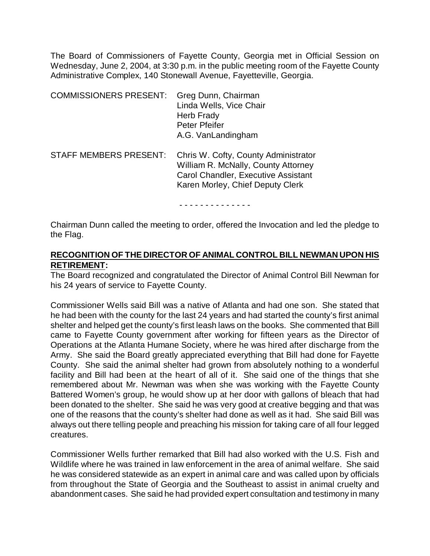The Board of Commissioners of Fayette County, Georgia met in Official Session on Wednesday, June 2, 2004, at 3:30 p.m. in the public meeting room of the Fayette County Administrative Complex, 140 Stonewall Avenue, Fayetteville, Georgia.

| <b>COMMISSIONERS PRESENT:</b> | Greg Dunn, Chairman<br>Linda Wells, Vice Chair<br>Herb Frady<br>Peter Pfeifer<br>A.G. VanLandingham                                                    |
|-------------------------------|--------------------------------------------------------------------------------------------------------------------------------------------------------|
| <b>STAFF MEMBERS PRESENT:</b> | Chris W. Cofty, County Administrator<br>William R. McNally, County Attorney<br>Carol Chandler, Executive Assistant<br>Karen Morley, Chief Deputy Clerk |

- - - - - - - - - - - - - -

Chairman Dunn called the meeting to order, offered the Invocation and led the pledge to the Flag.

# **RECOGNITION OF THE DIRECTOR OF ANIMAL CONTROL BILL NEWMAN UPON HIS RETIREMENT:**

The Board recognized and congratulated the Director of Animal Control Bill Newman for his 24 years of service to Fayette County.

Commissioner Wells said Bill was a native of Atlanta and had one son. She stated that he had been with the county for the last 24 years and had started the county's first animal shelter and helped get the county's first leash laws on the books. She commented that Bill came to Fayette County government after working for fifteen years as the Director of Operations at the Atlanta Humane Society, where he was hired after discharge from the Army. She said the Board greatly appreciated everything that Bill had done for Fayette County. She said the animal shelter had grown from absolutely nothing to a wonderful facility and Bill had been at the heart of all of it. She said one of the things that she remembered about Mr. Newman was when she was working with the Fayette County Battered Women's group, he would show up at her door with gallons of bleach that had been donated to the shelter. She said he was very good at creative begging and that was one of the reasons that the county's shelter had done as well as it had. She said Bill was always out there telling people and preaching his mission for taking care of all four legged creatures.

Commissioner Wells further remarked that Bill had also worked with the U.S. Fish and Wildlife where he was trained in law enforcement in the area of animal welfare. She said he was considered statewide as an expert in animal care and was called upon by officials from throughout the State of Georgia and the Southeast to assist in animal cruelty and abandonment cases. She said he had provided expert consultation and testimony in many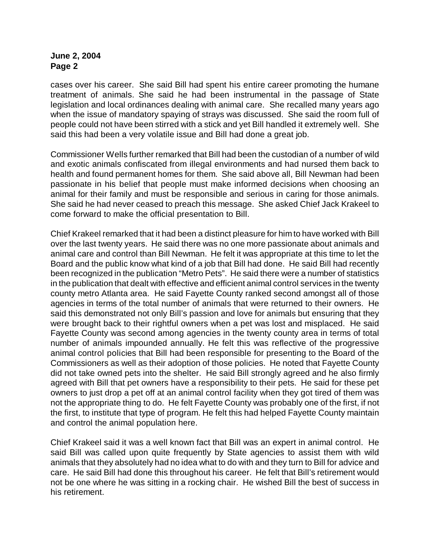cases over his career. She said Bill had spent his entire career promoting the humane treatment of animals. She said he had been instrumental in the passage of State legislation and local ordinances dealing with animal care. She recalled many years ago when the issue of mandatory spaying of strays was discussed. She said the room full of people could not have been stirred with a stick and yet Bill handled it extremely well. She said this had been a very volatile issue and Bill had done a great job.

Commissioner Wells further remarked that Bill had been the custodian of a number of wild and exotic animals confiscated from illegal environments and had nursed them back to health and found permanent homes for them. She said above all, Bill Newman had been passionate in his belief that people must make informed decisions when choosing an animal for their family and must be responsible and serious in caring for those animals. She said he had never ceased to preach this message. She asked Chief Jack Krakeel to come forward to make the official presentation to Bill.

Chief Krakeel remarked that it had been a distinct pleasure for him to have worked with Bill over the last twenty years. He said there was no one more passionate about animals and animal care and control than Bill Newman. He felt it was appropriate at this time to let the Board and the public know what kind of a job that Bill had done. He said Bill had recently been recognized in the publication "Metro Pets". He said there were a number of statistics in the publication that dealt with effective and efficient animal control services in the twenty county metro Atlanta area. He said Fayette County ranked second amongst all of those agencies in terms of the total number of animals that were returned to their owners. He said this demonstrated not only Bill's passion and love for animals but ensuring that they were brought back to their rightful owners when a pet was lost and misplaced. He said Fayette County was second among agencies in the twenty county area in terms of total number of animals impounded annually. He felt this was reflective of the progressive animal control policies that Bill had been responsible for presenting to the Board of the Commissioners as well as their adoption of those policies. He noted that Fayette County did not take owned pets into the shelter. He said Bill strongly agreed and he also firmly agreed with Bill that pet owners have a responsibility to their pets. He said for these pet owners to just drop a pet off at an animal control facility when they got tired of them was not the appropriate thing to do. He felt Fayette County was probably one of the first, if not the first, to institute that type of program. He felt this had helped Fayette County maintain and control the animal population here.

Chief Krakeel said it was a well known fact that Bill was an expert in animal control. He said Bill was called upon quite frequently by State agencies to assist them with wild animals that they absolutely had no idea what to do with and they turn to Bill for advice and care. He said Bill had done this throughout his career. He felt that Bill's retirement would not be one where he was sitting in a rocking chair. He wished Bill the best of success in his retirement.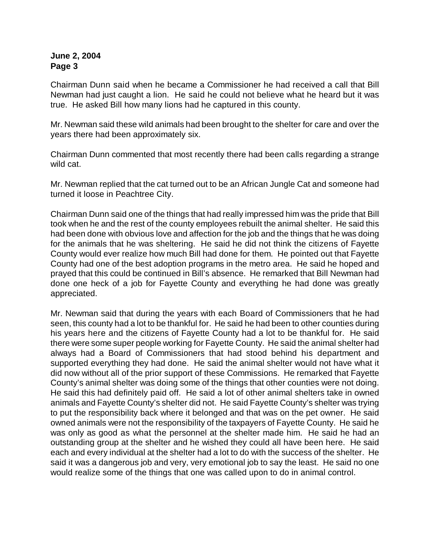Chairman Dunn said when he became a Commissioner he had received a call that Bill Newman had just caught a lion. He said he could not believe what he heard but it was true. He asked Bill how many lions had he captured in this county.

Mr. Newman said these wild animals had been brought to the shelter for care and over the years there had been approximately six.

Chairman Dunn commented that most recently there had been calls regarding a strange wild cat.

Mr. Newman replied that the cat turned out to be an African Jungle Cat and someone had turned it loose in Peachtree City.

Chairman Dunn said one of the things that had really impressed him was the pride that Bill took when he and the rest of the county employees rebuilt the animal shelter. He said this had been done with obvious love and affection for the job and the things that he was doing for the animals that he was sheltering. He said he did not think the citizens of Fayette County would ever realize how much Bill had done for them. He pointed out that Fayette County had one of the best adoption programs in the metro area. He said he hoped and prayed that this could be continued in Bill's absence. He remarked that Bill Newman had done one heck of a job for Fayette County and everything he had done was greatly appreciated.

Mr. Newman said that during the years with each Board of Commissioners that he had seen, this county had a lot to be thankful for. He said he had been to other counties during his years here and the citizens of Fayette County had a lot to be thankful for. He said there were some super people working for Fayette County. He said the animal shelter had always had a Board of Commissioners that had stood behind his department and supported everything they had done. He said the animal shelter would not have what it did now without all of the prior support of these Commissions. He remarked that Fayette County's animal shelter was doing some of the things that other counties were not doing. He said this had definitely paid off. He said a lot of other animal shelters take in owned animals and Fayette County's shelter did not. He said Fayette County's shelter was trying to put the responsibility back where it belonged and that was on the pet owner. He said owned animals were not the responsibility of the taxpayers of Fayette County. He said he was only as good as what the personnel at the shelter made him. He said he had an outstanding group at the shelter and he wished they could all have been here. He said each and every individual at the shelter had a lot to do with the success of the shelter. He said it was a dangerous job and very, very emotional job to say the least. He said no one would realize some of the things that one was called upon to do in animal control.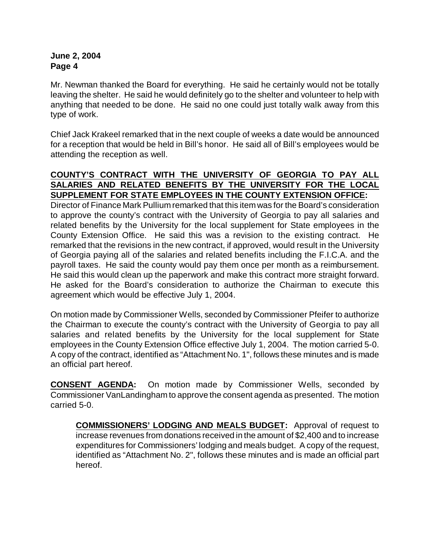Mr. Newman thanked the Board for everything. He said he certainly would not be totally leaving the shelter. He said he would definitely go to the shelter and volunteer to help with anything that needed to be done. He said no one could just totally walk away from this type of work.

Chief Jack Krakeel remarked that in the next couple of weeks a date would be announced for a reception that would be held in Bill's honor. He said all of Bill's employees would be attending the reception as well.

# **COUNTY'S CONTRACT WITH THE UNIVERSITY OF GEORGIA TO PAY ALL SALARIES AND RELATED BENEFITS BY THE UNIVERSITY FOR THE LOCAL SUPPLEMENT FOR STATE EMPLOYEES IN THE COUNTY EXTENSION OFFICE:**

Director of Finance Mark Pullium remarked that this item was for the Board's consideration to approve the county's contract with the University of Georgia to pay all salaries and related benefits by the University for the local supplement for State employees in the County Extension Office. He said this was a revision to the existing contract. He remarked that the revisions in the new contract, if approved, would result in the University of Georgia paying all of the salaries and related benefits including the F.I.C.A. and the payroll taxes. He said the county would pay them once per month as a reimbursement. He said this would clean up the paperwork and make this contract more straight forward. He asked for the Board's consideration to authorize the Chairman to execute this agreement which would be effective July 1, 2004.

On motion made by Commissioner Wells, seconded by Commissioner Pfeifer to authorize the Chairman to execute the county's contract with the University of Georgia to pay all salaries and related benefits by the University for the local supplement for State employees in the County Extension Office effective July 1, 2004. The motion carried 5-0. A copy of the contract, identified as "Attachment No. 1", follows these minutes and is made an official part hereof.

**CONSENT AGENDA:** On motion made by Commissioner Wells, seconded by Commissioner VanLandingham to approve the consent agenda as presented. The motion carried 5-0.

**COMMISSIONERS' LODGING AND MEALS BUDGET:** Approval of request to increase revenues from donations received in the amount of \$2,400 and to increase expenditures for Commissioners' lodging and meals budget. A copy of the request, identified as "Attachment No. 2", follows these minutes and is made an official part hereof.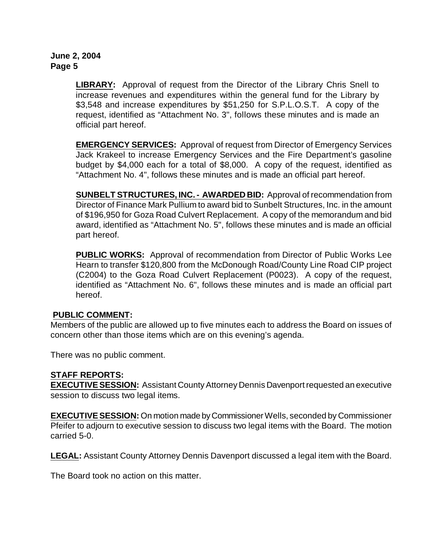**LIBRARY:** Approval of request from the Director of the Library Chris Snell to increase revenues and expenditures within the general fund for the Library by \$3,548 and increase expenditures by \$51,250 for S.P.L.O.S.T. A copy of the request, identified as "Attachment No. 3", follows these minutes and is made an official part hereof.

**EMERGENCY SERVICES:** Approval of request from Director of Emergency Services Jack Krakeel to increase Emergency Services and the Fire Department's gasoline budget by \$4,000 each for a total of \$8,000. A copy of the request, identified as "Attachment No. 4", follows these minutes and is made an official part hereof.

**SUNBELT STRUCTURES, INC. - AWARDED BID:** Approval of recommendation from Director of Finance Mark Pullium to award bid to Sunbelt Structures, Inc. in the amount of \$196,950 for Goza Road Culvert Replacement. A copy of the memorandum and bid award, identified as "Attachment No. 5", follows these minutes and is made an official part hereof.

**PUBLIC WORKS:** Approval of recommendation from Director of Public Works Lee Hearn to transfer \$120,800 from the McDonough Road/County Line Road CIP project (C2004) to the Goza Road Culvert Replacement (P0023). A copy of the request, identified as "Attachment No. 6", follows these minutes and is made an official part hereof.

#### **PUBLIC COMMENT:**

Members of the public are allowed up to five minutes each to address the Board on issues of concern other than those items which are on this evening's agenda.

There was no public comment.

# **STAFF REPORTS:**

**EXECUTIVE SESSION:** Assistant County Attorney Dennis Davenport requested an executive session to discuss two legal items.

**EXECUTIVE SESSION:** On motion made by Commissioner Wells, seconded by Commissioner Pfeifer to adjourn to executive session to discuss two legal items with the Board. The motion carried 5-0.

**LEGAL:** Assistant County Attorney Dennis Davenport discussed a legal item with the Board.

The Board took no action on this matter.